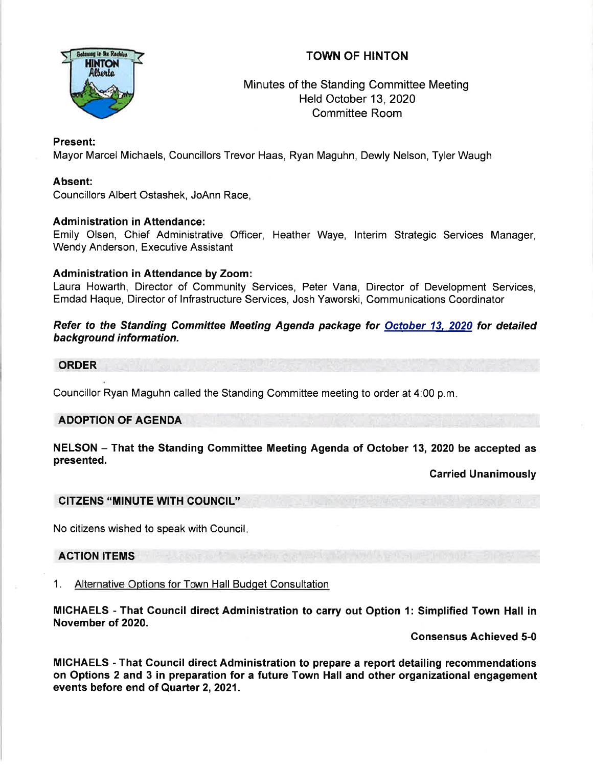# TOWN OF HINTON



## Minutes of the Standing Committee Meeting Held October 13, 2020 Committee Room

## Present:

Mayor Marcel Michaels, Councillors Trevor Haas, Ryan Maguhn, Dewly Nelson, Tyler Waugh

### Absent:

Councillors Albert Ostashek, JoAnn Race,

### Administration in Attendance:

Emily Olsen, Chief Administrative Officer, Heather Waye, lnterim Strategic Services Manager, Wendy Anderson, Executive Assistant

### Administration in Attendance by Zoom:

Laura Howarth, Director of Community Services, Peter Vana, Director of Development Services, Emdad Haque, Director of lnfrastructure Services, Josh Yaworski, Communications Coordinator

#### Refer to the Standing Committee Meeting Agenda package for October 13, 2020 for detailed background information.

#### ORDER

Councillor Ryan Maguhn called the Standing Committee meeting to order at 4:00 p.m

### ADOPTION OF AGENDA

#### NELSON - That the Standing Committee Meeting Agenda of October 13, 2020 be accepted as presented.

Carried Unanimously

### CITZENS "MINUTE WITH COUNCIL"

No citizens wished to speak with Council

### ACTION ITEMS

### 1. Alternative Options for Town Hall Budqet Consultation

MICHAELS - That Council direct Administration to carry out Option {: Simplified Town Hall in November of 2020.

Gonsensus Achieved 5-0

MICHAELS - That Gouncil direct Administration to prepare a report detailing recommendations on Options 2 and 3 in preparation for a future Town Hall and other organizational engagement events before end of Quarter 2, 2021.